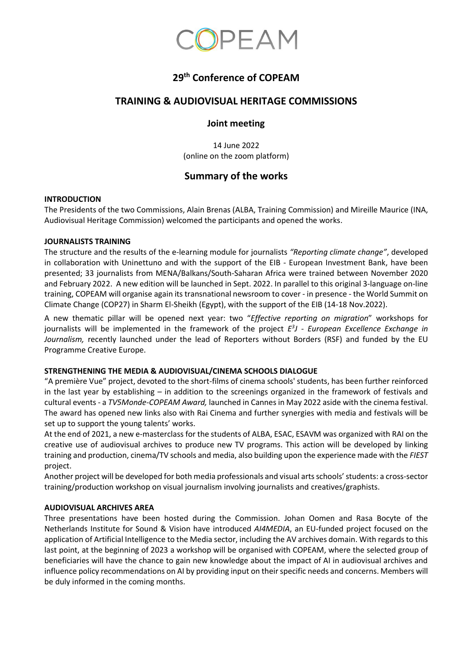

## **29 th Conference of COPEAM**

### **TRAINING & AUDIOVISUAL HERITAGE COMMISSIONS**

#### **Joint meeting**

14 June 2022 (online on the zoom platform)

## **Summary of the works**

#### **INTRODUCTION**

The Presidents of the two Commissions, Alain Brenas (ALBA, Training Commission) and Mireille Maurice (INA, Audiovisual Heritage Commission) welcomed the participants and opened the works.

#### **JOURNALISTS TRAINING**

The structure and the results of the e-learning module for journalists *"Reporting climate change"*, developed in collaboration with Uninettuno and with the support of the EIB - European Investment Bank, have been presented; 33 journalists from MENA/Balkans/South-Saharan Africa were trained between November 2020 and February 2022. A new edition will be launched in Sept. 2022. In parallel to this original 3-language on-line training, COPEAM will organise again its transnational newsroom to cover - in presence - the World Summit on Climate Change (COP27) in Sharm El-Sheikh (Egypt), with the support of the EIB (14-18 Nov.2022).

A new thematic pillar will be opened next year: two "*Effective reporting on migration*" workshops for journalists will be implemented in the framework of the project  $E<sup>3</sup>J$  - *European Excellence Exchange in Journalism,* recently launched under the lead of Reporters without Borders (RSF) and funded by the EU Programme Creative Europe.

#### **STRENGTHENING THE MEDIA & AUDIOVISUAL/CINEMA SCHOOLS DIALOGUE**

"A première Vue" project, devoted to the short-films of cinema schools' students, has been further reinforced in the last year by establishing – in addition to the screenings organized in the framework of festivals and cultural events - a *TV5Monde-COPEAM Award,* launched in Cannes in May 2022 aside with the cinema festival. The award has opened new links also with Rai Cinema and further synergies with media and festivals will be set up to support the young talents' works.

At the end of 2021, a new e-masterclass for the students of ALBA, ESAC, ESAVM was organized with RAI on the creative use of audiovisual archives to produce new TV programs. This action will be developed by linking training and production, cinema/TV schools and media, also building upon the experience made with the *FIEST* project.

Another project will be developed for both media professionals and visual arts schools' students: a cross-sector training/production workshop on visual journalism involving journalists and creatives/graphists.

#### **AUDIOVISUAL ARCHIVES AREA**

Three presentations have been hosted during the Commission. Johan Oomen and Rasa Bocyte of the Netherlands Institute for Sound & Vision have introduced *AI4MEDIA*, an EU-funded project focused on the application of Artificial Intelligence to the Media sector, including the AV archives domain. With regards to this last point, at the beginning of 2023 a workshop will be organised with COPEAM, where the selected group of beneficiaries will have the chance to gain new knowledge about the impact of AI in audiovisual archives and influence policy recommendations on AI by providing input on their specific needs and concerns. Members will be duly informed in the coming months.